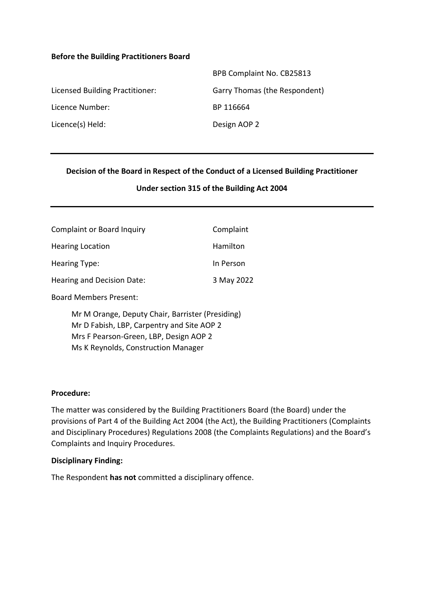#### **Before the Building Practitioners Board**

|                                 | BPB Complaint No. CB25813     |
|---------------------------------|-------------------------------|
| Licensed Building Practitioner: | Garry Thomas (the Respondent) |
| Licence Number:                 | BP 116664                     |
| Licence(s) Held:                | Design AOP 2                  |

#### **Decision of the Board in Respect of the Conduct of a Licensed Building Practitioner**

#### **Under section 315 of the Building Act 2004**

| <b>Complaint or Board Inquiry</b> | Complaint  |
|-----------------------------------|------------|
| <b>Hearing Location</b>           | Hamilton   |
| <b>Hearing Type:</b>              | In Person  |
| Hearing and Decision Date:        | 3 May 2022 |
| <b>Board Members Present:</b>     |            |

Mr M Orange, Deputy Chair, Barrister (Presiding) Mr D Fabish, LBP, Carpentry and Site AOP 2 Mrs F Pearson-Green, LBP, Design AOP 2 Ms K Reynolds, Construction Manager

#### **Procedure:**

The matter was considered by the Building Practitioners Board (the Board) under the provisions of Part 4 of the Building Act 2004 (the Act), the Building Practitioners (Complaints and Disciplinary Procedures) Regulations 2008 (the Complaints Regulations) and the Board's Complaints and Inquiry Procedures.

#### **Disciplinary Finding:**

The Respondent **has not** committed a disciplinary offence.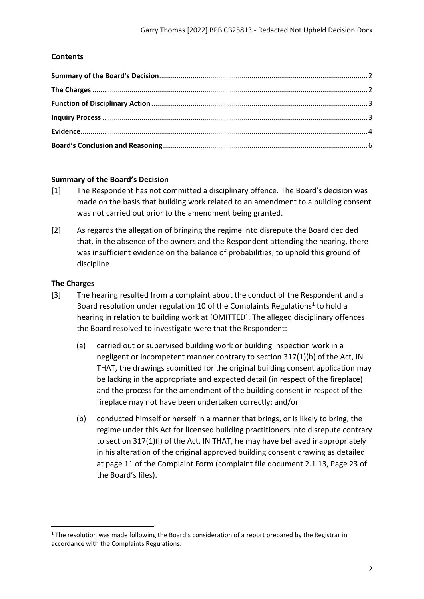# **Contents**

# <span id="page-1-0"></span>**Summary of the Board's Decision**

- [1] The Respondent has not committed a disciplinary offence. The Board's decision was made on the basis that building work related to an amendment to a building consent was not carried out prior to the amendment being granted.
- [2] As regards the allegation of bringing the regime into disrepute the Board decided that, in the absence of the owners and the Respondent attending the hearing, there was insufficient evidence on the balance of probabilities, to uphold this ground of discipline

#### <span id="page-1-1"></span>**The Charges**

- [3] The hearing resulted from a complaint about the conduct of the Respondent and a Board resolution under regulation 10 of the Complaints Regulations<sup>1</sup> to hold a hearing in relation to building work at [OMITTED]. The alleged disciplinary offences the Board resolved to investigate were that the Respondent:
	- (a) carried out or supervised building work or building inspection work in a negligent or incompetent manner contrary to section 317(1)(b) of the Act, IN THAT, the drawings submitted for the original building consent application may be lacking in the appropriate and expected detail (in respect of the fireplace) and the process for the amendment of the building consent in respect of the fireplace may not have been undertaken correctly; and/or
	- (b) conducted himself or herself in a manner that brings, or is likely to bring, the regime under this Act for licensed building practitioners into disrepute contrary to section 317(1)(i) of the Act, IN THAT, he may have behaved inappropriately in his alteration of the original approved building consent drawing as detailed at page 11 of the Complaint Form (complaint file document 2.1.13, Page 23 of the Board's files).

 $1$  The resolution was made following the Board's consideration of a report prepared by the Registrar in accordance with the Complaints Regulations.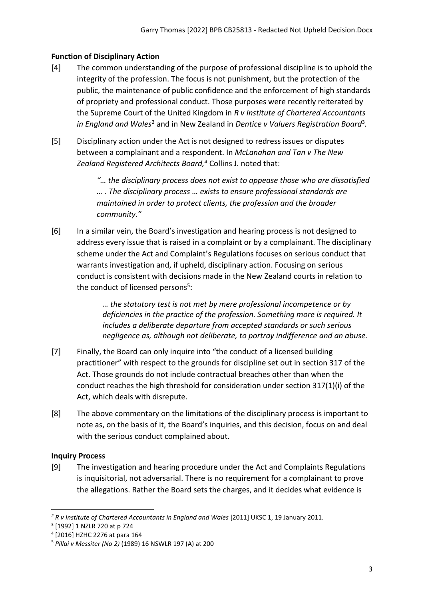# <span id="page-2-0"></span>**Function of Disciplinary Action**

- [4] The common understanding of the purpose of professional discipline is to uphold the integrity of the profession. The focus is not punishment, but the protection of the public, the maintenance of public confidence and the enforcement of high standards of propriety and professional conduct. Those purposes were recently reiterated by the Supreme Court of the United Kingdom in *R v Institute of Chartered Accountants* in England and Wales<sup>2</sup> and in New Zealand in Dentice v Valuers Registration Board<sup>3</sup>.
- [5] Disciplinary action under the Act is not designed to redress issues or disputes between a complainant and a respondent. In *McLanahan and Tan v The New Zealand Registered Architects Board, <sup>4</sup>* Collins J. noted that:

*"… the disciplinary process does not exist to appease those who are dissatisfied … . The disciplinary process … exists to ensure professional standards are maintained in order to protect clients, the profession and the broader community."*

[6] In a similar vein, the Board's investigation and hearing process is not designed to address every issue that is raised in a complaint or by a complainant. The disciplinary scheme under the Act and Complaint's Regulations focuses on serious conduct that warrants investigation and, if upheld, disciplinary action. Focusing on serious conduct is consistent with decisions made in the New Zealand courts in relation to the conduct of licensed persons<sup>5</sup>:

> *… the statutory test is not met by mere professional incompetence or by deficiencies in the practice of the profession. Something more is required. It includes a deliberate departure from accepted standards or such serious negligence as, although not deliberate, to portray indifference and an abuse.*

- [7] Finally, the Board can only inquire into "the conduct of a licensed building practitioner" with respect to the grounds for discipline set out in section 317 of the Act. Those grounds do not include contractual breaches other than when the conduct reaches the high threshold for consideration under section 317(1)(i) of the Act, which deals with disrepute.
- [8] The above commentary on the limitations of the disciplinary process is important to note as, on the basis of it, the Board's inquiries, and this decision, focus on and deal with the serious conduct complained about.

# <span id="page-2-1"></span>**Inquiry Process**

[9] The investigation and hearing procedure under the Act and Complaints Regulations is inquisitorial, not adversarial. There is no requirement for a complainant to prove the allegations. Rather the Board sets the charges, and it decides what evidence is

<sup>&</sup>lt;sup>2</sup> R v Institute of Chartered Accountants in England and Wales [2011] UKSC 1, 19 January 2011.

<sup>3</sup> [1992] 1 NZLR 720 at p 724

<sup>4</sup> [2016] HZHC 2276 at para 164

<sup>5</sup> *Pillai v Messiter (No 2)* (1989) 16 NSWLR 197 (A) at 200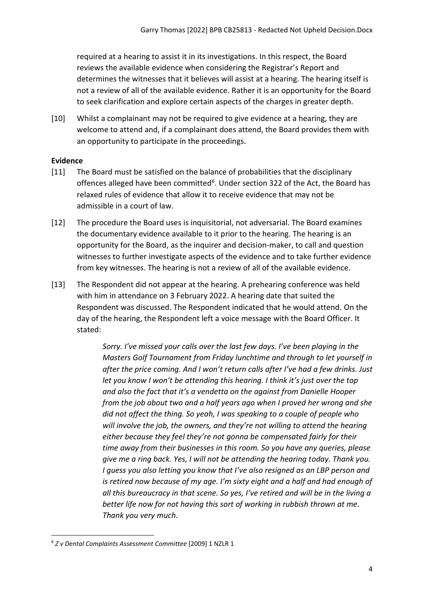required at a hearing to assist it in its investigations. In this respect, the Board reviews the available evidence when considering the Registrar's Report and determines the witnesses that it believes will assist at a hearing. The hearing itself is not a review of all of the available evidence. Rather it is an opportunity for the Board to seek clarification and explore certain aspects of the charges in greater depth.

[10] Whilst a complainant may not be required to give evidence at a hearing, they are welcome to attend and, if a complainant does attend, the Board provides them with an opportunity to participate in the proceedings.

# <span id="page-3-0"></span>**Evidence**

- [11] The Board must be satisfied on the balance of probabilities that the disciplinary offences alleged have been committed*<sup>6</sup>* . Under section 322 of the Act, the Board has relaxed rules of evidence that allow it to receive evidence that may not be admissible in a court of law.
- [12] The procedure the Board uses is inquisitorial, not adversarial. The Board examines the documentary evidence available to it prior to the hearing. The hearing is an opportunity for the Board, as the inquirer and decision-maker, to call and question witnesses to further investigate aspects of the evidence and to take further evidence from key witnesses. The hearing is not a review of all of the available evidence.
- [13] The Respondent did not appear at the hearing. A prehearing conference was held with him in attendance on 3 February 2022. A hearing date that suited the Respondent was discussed. The Respondent indicated that he would attend. On the day of the hearing, the Respondent left a voice message with the Board Officer. It stated:

*Sorry. I've missed your calls over the last few days. I've been playing in the Masters Golf Tournament from Friday lunchtime and through to let yourself in after the price coming. And I won't return calls after I've had a few drinks. Just let you know I won't be attending this hearing. I think it's just over the top and also the fact that it's a vendetta on the against from Danielle Hooper from the job about two and a half years ago when I proved her wrong and she did not affect the thing. So yeah, I was speaking to a couple of people who will involve the job, the owners, and they're not willing to attend the hearing either because they feel they're not gonna be compensated fairly for their time away from their businesses in this room. So you have any queries, please give me a ring back. Yes, I will not be attending the hearing today. Thank you. I guess you also letting you know that I've also resigned as an LBP person and is retired now because of my age. I'm sixty eight and a half and had enough of all this bureaucracy in that scene. So yes, I've retired and will be in the living a better life now for not having this sort of working in rubbish thrown at me. Thank you very much.*

<sup>6</sup> *Z v Dental Complaints Assessment Committee* [2009] 1 NZLR 1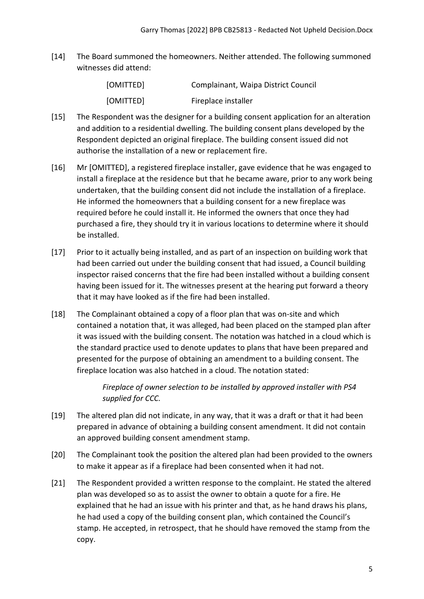[14] The Board summoned the homeowners. Neither attended. The following summoned witnesses did attend:

| [OMITTED] | Complainant, Waipa District Council |
|-----------|-------------------------------------|
| [OMITTED] | Fireplace installer                 |

- [15] The Respondent was the designer for a building consent application for an alteration and addition to a residential dwelling. The building consent plans developed by the Respondent depicted an original fireplace. The building consent issued did not authorise the installation of a new or replacement fire.
- [16] Mr [OMITTED], a registered fireplace installer, gave evidence that he was engaged to install a fireplace at the residence but that he became aware, prior to any work being undertaken, that the building consent did not include the installation of a fireplace. He informed the homeowners that a building consent for a new fireplace was required before he could install it. He informed the owners that once they had purchased a fire, they should try it in various locations to determine where it should be installed.
- [17] Prior to it actually being installed, and as part of an inspection on building work that had been carried out under the building consent that had issued, a Council building inspector raised concerns that the fire had been installed without a building consent having been issued for it. The witnesses present at the hearing put forward a theory that it may have looked as if the fire had been installed.
- [18] The Complainant obtained a copy of a floor plan that was on-site and which contained a notation that, it was alleged, had been placed on the stamped plan after it was issued with the building consent. The notation was hatched in a cloud which is the standard practice used to denote updates to plans that have been prepared and presented for the purpose of obtaining an amendment to a building consent. The fireplace location was also hatched in a cloud. The notation stated:

*Fireplace of owner selection to be installed by approved installer with PS4 supplied for CCC.* 

- [19] The altered plan did not indicate, in any way, that it was a draft or that it had been prepared in advance of obtaining a building consent amendment. It did not contain an approved building consent amendment stamp.
- [20] The Complainant took the position the altered plan had been provided to the owners to make it appear as if a fireplace had been consented when it had not.
- [21] The Respondent provided a written response to the complaint. He stated the altered plan was developed so as to assist the owner to obtain a quote for a fire. He explained that he had an issue with his printer and that, as he hand draws his plans, he had used a copy of the building consent plan, which contained the Council's stamp. He accepted, in retrospect, that he should have removed the stamp from the copy.